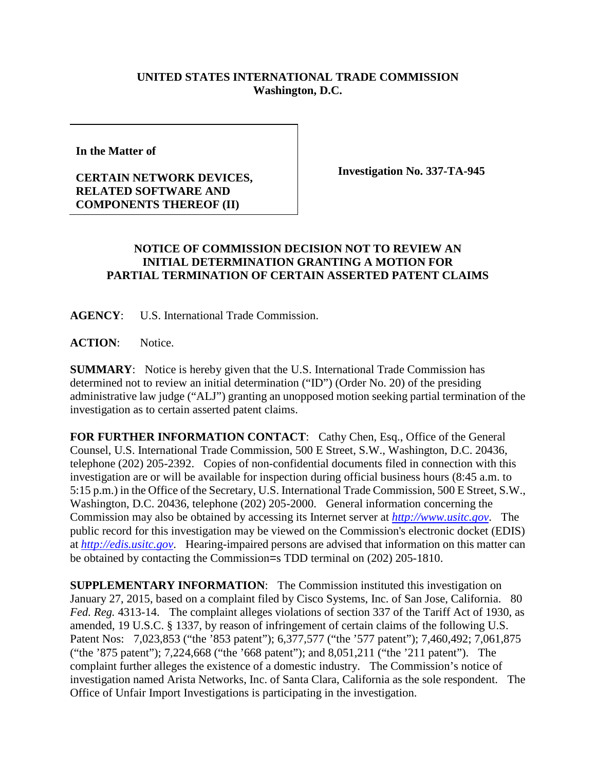## **UNITED STATES INTERNATIONAL TRADE COMMISSION Washington, D.C.**

**In the Matter of** 

## **CERTAIN NETWORK DEVICES, RELATED SOFTWARE AND COMPONENTS THEREOF (II)**

**Investigation No. 337-TA-945**

## **NOTICE OF COMMISSION DECISION NOT TO REVIEW AN INITIAL DETERMINATION GRANTING A MOTION FOR PARTIAL TERMINATION OF CERTAIN ASSERTED PATENT CLAIMS**

**AGENCY**: U.S. International Trade Commission.

ACTION: Notice.

**SUMMARY**: Notice is hereby given that the U.S. International Trade Commission has determined not to review an initial determination ("ID") (Order No. 20) of the presiding administrative law judge ("ALJ") granting an unopposed motion seeking partial termination of the investigation as to certain asserted patent claims.

**FOR FURTHER INFORMATION CONTACT**: Cathy Chen, Esq., Office of the General Counsel, U.S. International Trade Commission, 500 E Street, S.W., Washington, D.C. 20436, telephone (202) 205-2392. Copies of non-confidential documents filed in connection with this investigation are or will be available for inspection during official business hours (8:45 a.m. to 5:15 p.m.) in the Office of the Secretary, U.S. International Trade Commission, 500 E Street, S.W., Washington, D.C. 20436, telephone (202) 205-2000. General information concerning the Commission may also be obtained by accessing its Internet server at *[http://www.usitc.gov](http://www.usitc.gov/)*. The public record for this investigation may be viewed on the Commission's electronic docket (EDIS) at *[http://edis.usitc.gov](http://edis.usitc.gov/)*. Hearing-impaired persons are advised that information on this matter can be obtained by contacting the Commission=s TDD terminal on (202) 205-1810.

**SUPPLEMENTARY INFORMATION:** The Commission instituted this investigation on January 27, 2015, based on a complaint filed by Cisco Systems, Inc. of San Jose, California. 80 *Fed. Reg.* 4313-14. The complaint alleges violations of section 337 of the Tariff Act of 1930, as amended, 19 U.S.C. § 1337, by reason of infringement of certain claims of the following U.S. Patent Nos: 7,023,853 ("the '853 patent"); 6,377,577 ("the '577 patent"); 7,460,492; 7,061,875 ("the '875 patent"); 7,224,668 ("the '668 patent"); and 8,051,211 ("the '211 patent"). The complaint further alleges the existence of a domestic industry. The Commission's notice of investigation named Arista Networks, Inc. of Santa Clara, California as the sole respondent. The Office of Unfair Import Investigations is participating in the investigation.